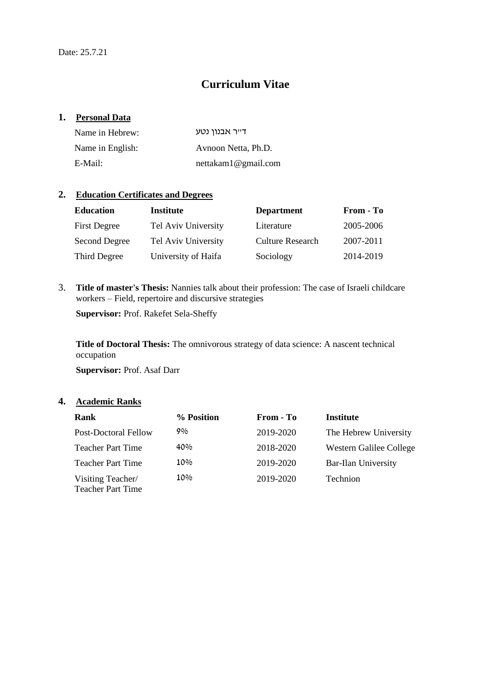# **Curriculum Vitae**

## **1. Personal Data**

| Name in Hebrew:  | ד״ר אבנוו נטע       |
|------------------|---------------------|
| Name in English: | Avnoon Netta, Ph.D. |
| E-Mail:          | nettakam1@gmail.com |

# **2. Education Certificates and Degrees**

| <b>Education</b>     | Institute           | <b>Department</b>       | From - To |
|----------------------|---------------------|-------------------------|-----------|
| <b>First Degree</b>  | Tel Aviv University | Literature              | 2005-2006 |
| <b>Second Degree</b> | Tel Aviv University | <b>Culture Research</b> | 2007-2011 |
| Third Degree         | University of Haifa | Sociology               | 2014-2019 |

3. **Title of master's Thesis:** Nannies talk about their profession: The case of Israeli childcare workers – Field, repertoire and discursive strategies

**Supervisor:** Prof. Rakefet Sela-Sheffy

**Title of Doctoral Thesis:** The omnivorous strategy of data science: A nascent technical occupation

**Supervisor:** Prof. Asaf Darr

# **4. Academic Ranks**

| Rank                                          | % Position | From - To | <b>Institute</b>           |
|-----------------------------------------------|------------|-----------|----------------------------|
| <b>Post-Doctoral Fellow</b>                   | 9%         | 2019-2020 | The Hebrew University      |
| <b>Teacher Part Time</b>                      | 40%        | 2018-2020 | Western Galilee College    |
| <b>Teacher Part Time</b>                      | 10%        | 2019-2020 | <b>Bar-Ilan University</b> |
| Visiting Teacher/<br><b>Teacher Part Time</b> | 10%        | 2019-2020 | Technion                   |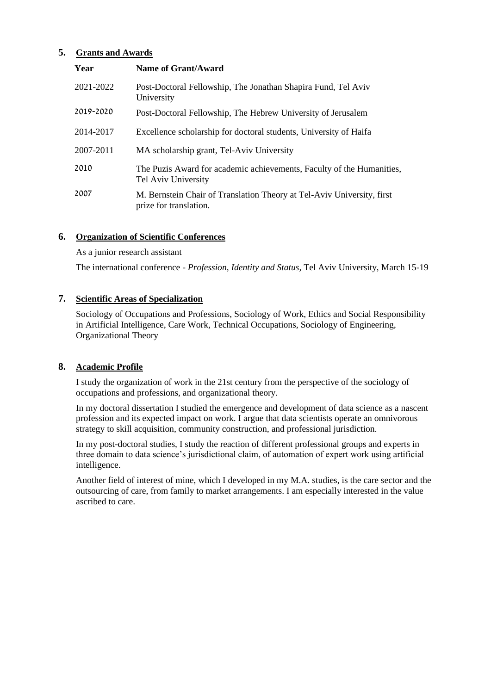# **5. Grants and Awards**

| Year      | <b>Name of Grant/Award</b>                                                                       |
|-----------|--------------------------------------------------------------------------------------------------|
| 2021-2022 | Post-Doctoral Fellowship, The Jonathan Shapira Fund, Tel Aviv<br>University                      |
| 2019-2020 | Post-Doctoral Fellowship, The Hebrew University of Jerusalem                                     |
| 2014-2017 | Excellence scholarship for doctoral students, University of Haifa                                |
| 2007-2011 | MA scholarship grant, Tel-Aviv University                                                        |
| 2010      | The Puzis Award for academic achievements, Faculty of the Humanities,<br>Tel Aviv University     |
| 2007      | M. Bernstein Chair of Translation Theory at Tel-Aviv University, first<br>prize for translation. |

# **6. Organization of Scientific Conferences**

#### As a junior research assistant

The international conference - *Profession, Identity and Status,* Tel Aviv University, March 15-19

## **7. Scientific Areas of Specialization**

Sociology of Occupations and Professions, Sociology of Work, Ethics and Social Responsibility in Artificial Intelligence, Care Work, Technical Occupations, Sociology of Engineering, Organizational Theory

#### **8. Academic Profile**

I study the organization of work in the 21st century from the perspective of the sociology of occupations and professions, and organizational theory.

In my doctoral dissertation I studied the emergence and development of data science as a nascent profession and its expected impact on work. I argue that data scientists operate an omnivorous strategy to skill acquisition, community construction, and professional jurisdiction.

In my post-doctoral studies, I study the reaction of different professional groups and experts in three domain to data science's jurisdictional claim, of automation of expert work using artificial intelligence.

Another field of interest of mine, which I developed in my M.A. studies, is the care sector and the outsourcing of care, from family to market arrangements. I am especially interested in the value ascribed to care.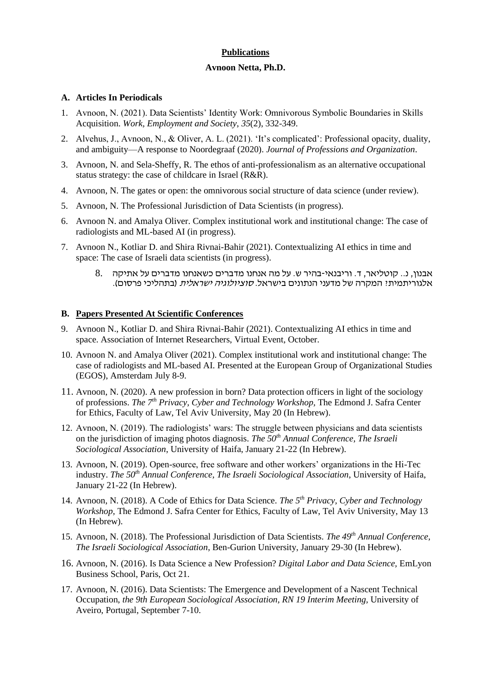## **Publications**

#### **Avnoon Netta, Ph.D.**

#### **A. Articles In Periodicals**

- 1. Avnoon, N. (2021). Data Scientists' Identity Work: Omnivorous Symbolic Boundaries in Skills Acquisition. *Work, Employment and Society*, *35*(2), 332-349.
- 2. Alvehus, J., Avnoon, N., & Oliver, A. L. (2021). 'It's complicated': Professional opacity, duality, and ambiguity—A response to Noordegraaf (2020). *Journal of Professions and Organization*.
- 3. Avnoon, N. and Sela-Sheffy, R. The ethos of anti-professionalism as an alternative occupational status strategy: the case of childcare in Israel (R&R).
- 4. Avnoon, N. The gates or open: the omnivorous social structure of data science (under review).
- 5. Avnoon, N. The Professional Jurisdiction of Data Scientists (in progress).
- 6. Avnoon N. and Amalya Oliver. Complex institutional work and institutional change: The case of radiologists and ML-based AI (in progress).
- 7. Avnoon N., Kotliar D. and Shira Rivnai-Bahir (2021). Contextualizing AI ethics in time and space: The case of Israeli data scientists (in progress).
	- אבנון, נ.. קוטליאר, ד. וריבנאי-בהיר ש. על מה אנחנו מדברים כשאנחנו מדברים על אתיקה 8. אלגוריתמית? המקרה של מדעני הנתונים בישראל. *סוציולוגיה ישראלית* (בתהליכי פרסום).

### **B. Papers Presented At Scientific Conferences**

- 9. Avnoon N., Kotliar D. and Shira Rivnai-Bahir (2021). Contextualizing AI ethics in time and space. Association of Internet Researchers, Virtual Event, October.
- 10. Avnoon N. and Amalya Oliver (2021). Complex institutional work and institutional change: The case of radiologists and ML-based AI. Presented at the European Group of Organizational Studies (EGOS), Amsterdam July 8-9.
- 11. Avnoon, N. (2020). A new profession in born? Data protection officers in light of the sociology of professions. *The 7th Privacy, Cyber and Technology Workshop,* The Edmond J. Safra Center for Ethics, Faculty of Law, Tel Aviv University, May 20 (In Hebrew).
- 12. Avnoon, N. (2019). The radiologists' wars: The struggle between physicians and data scientists on the jurisdiction of imaging photos diagnosis. *The 50th Annual Conference, The Israeli Sociological Association*, University of Haifa, January 21-22 (In Hebrew).
- 13. Avnoon, N. (2019). Open-source, free software and other workers' organizations in the Hi-Tec industry. *The 50th Annual Conference, The Israeli Sociological Association*, University of Haifa, January 21-22 (In Hebrew).
- 14. Avnoon, N. (2018). A Code of Ethics for Data Science. *The 5th Privacy, Cyber and Technology Workshop,* The Edmond J. Safra Center for Ethics, Faculty of Law, Tel Aviv University, May 13 (In Hebrew).
- 15. Avnoon, N. (2018). The Professional Jurisdiction of Data Scientists. *The 49th Annual Conference, The Israeli Sociological Association*, Ben-Gurion University, January 29-30 (In Hebrew).
- 16. Avnoon, N. (2016). Is Data Science a New Profession? *Digital Labor and Data Science,* EmLyon Business School, Paris, Oct 21.
- 17. Avnoon, N. (2016). Data Scientists: The Emergence and Development of a Nascent Technical Occupation, *the 9th European Sociological Association, RN 19 Interim Meeting,* University of Aveiro, Portugal, September 7-10.